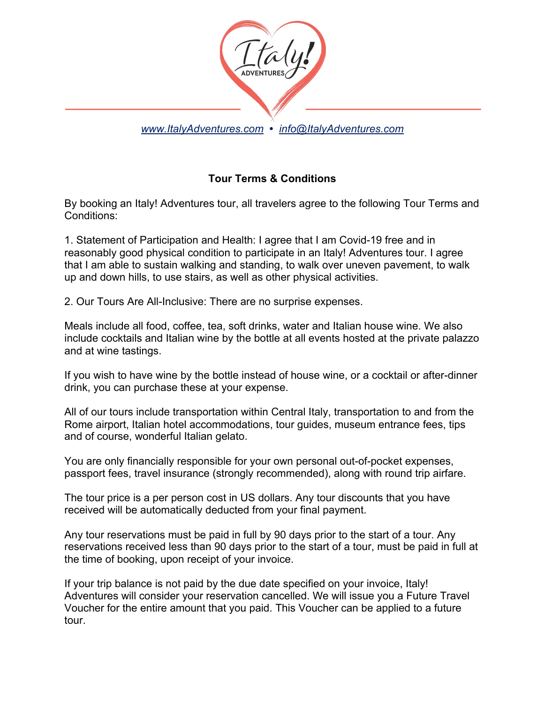

## **Tour Terms & Conditions**

By booking an Italy! Adventures tour, all travelers agree to the following Tour Terms and Conditions:

1. Statement of Participation and Health: I agree that I am Covid-19 free and in reasonably good physical condition to participate in an Italy! Adventures tour. I agree that I am able to sustain walking and standing, to walk over uneven pavement, to walk up and down hills, to use stairs, as well as other physical activities.

2. Our Tours Are All-Inclusive: There are no surprise expenses.

Meals include all food, coffee, tea, soft drinks, water and Italian house wine. We also include cocktails and Italian wine by the bottle at all events hosted at the private palazzo and at wine tastings.

If you wish to have wine by the bottle instead of house wine, or a cocktail or after-dinner drink, you can purchase these at your expense.

All of our tours include transportation within Central Italy, transportation to and from the Rome airport, Italian hotel accommodations, tour guides, museum entrance fees, tips and of course, wonderful Italian gelato.

You are only financially responsible for your own personal out-of-pocket expenses, passport fees, travel insurance (strongly recommended), along with round trip airfare.

The tour price is a per person cost in US dollars. Any tour discounts that you have received will be automatically deducted from your final payment.

Any tour reservations must be paid in full by 90 days prior to the start of a tour. Any reservations received less than 90 days prior to the start of a tour, must be paid in full at the time of booking, upon receipt of your invoice.

If your trip balance is not paid by the due date specified on your invoice, Italy! Adventures will consider your reservation cancelled. We will issue you a Future Travel Voucher for the entire amount that you paid. This Voucher can be applied to a future tour.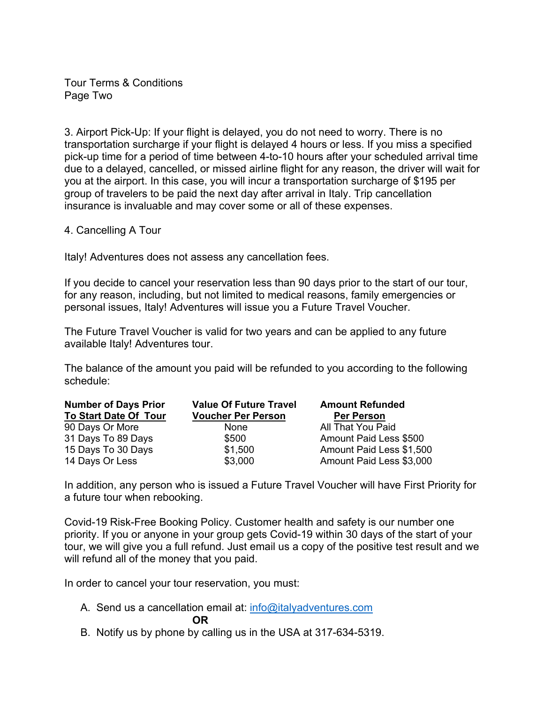Tour Terms & Conditions Page Two

3. Airport Pick-Up: If your flight is delayed, you do not need to worry. There is no transportation surcharge if your flight is delayed 4 hours or less. If you miss a specified pick-up time for a period of time between 4-to-10 hours after your scheduled arrival time due to a delayed, cancelled, or missed airline flight for any reason, the driver will wait for you at the airport. In this case, you will incur a transportation surcharge of \$195 per group of travelers to be paid the next day after arrival in Italy. Trip cancellation insurance is invaluable and may cover some or all of these expenses.

4. Cancelling A Tour

Italy! Adventures does not assess any cancellation fees.

If you decide to cancel your reservation less than 90 days prior to the start of our tour, for any reason, including, but not limited to medical reasons, family emergencies or personal issues, Italy! Adventures will issue you a Future Travel Voucher.

The Future Travel Voucher is valid for two years and can be applied to any future available Italy! Adventures tour.

The balance of the amount you paid will be refunded to you according to the following schedule:

| <b>Number of Days Prior</b>  | <b>Value Of Future Travel</b> | <b>Amount Refunded</b>   |
|------------------------------|-------------------------------|--------------------------|
| <b>To Start Date Of Tour</b> | <b>Voucher Per Person</b>     | <b>Per Person</b>        |
| 90 Days Or More              | None                          | All That You Paid        |
| 31 Days To 89 Days           | \$500                         | Amount Paid Less \$500   |
| 15 Days To 30 Days           | \$1,500                       | Amount Paid Less \$1,500 |
| 14 Days Or Less              | \$3,000                       | Amount Paid Less \$3,000 |

In addition, any person who is issued a Future Travel Voucher will have First Priority for a future tour when rebooking.

Covid-19 Risk-Free Booking Policy. Customer health and safety is our number one priority. If you or anyone in your group gets Covid-19 within 30 days of the start of your tour, we will give you a full refund. Just email us a copy of the positive test result and we will refund all of the money that you paid.

In order to cancel your tour reservation, you must:

- A. Send us a cancellation email at: info@italyadventures.com **OR**
- B. Notify us by phone by calling us in the USA at 317-634-5319.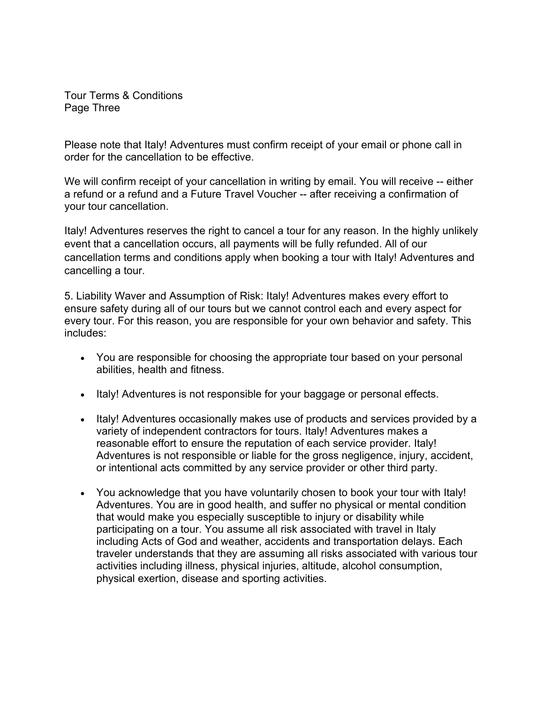Tour Terms & Conditions Page Three

Please note that Italy! Adventures must confirm receipt of your email or phone call in order for the cancellation to be effective.

We will confirm receipt of your cancellation in writing by email. You will receive -- either a refund or a refund and a Future Travel Voucher -- after receiving a confirmation of your tour cancellation.

Italy! Adventures reserves the right to cancel a tour for any reason. In the highly unlikely event that a cancellation occurs, all payments will be fully refunded. All of our cancellation terms and conditions apply when booking a tour with Italy! Adventures and cancelling a tour.

5. Liability Waver and Assumption of Risk: Italy! Adventures makes every effort to ensure safety during all of our tours but we cannot control each and every aspect for every tour. For this reason, you are responsible for your own behavior and safety. This includes:

- You are responsible for choosing the appropriate tour based on your personal abilities, health and fitness.
- Italy! Adventures is not responsible for your baggage or personal effects.
- Italy! Adventures occasionally makes use of products and services provided by a variety of independent contractors for tours. Italy! Adventures makes a reasonable effort to ensure the reputation of each service provider. Italy! Adventures is not responsible or liable for the gross negligence, injury, accident, or intentional acts committed by any service provider or other third party.
- You acknowledge that you have voluntarily chosen to book your tour with Italy! Adventures. You are in good health, and suffer no physical or mental condition that would make you especially susceptible to injury or disability while participating on a tour. You assume all risk associated with travel in Italy including Acts of God and weather, accidents and transportation delays. Each traveler understands that they are assuming all risks associated with various tour activities including illness, physical injuries, altitude, alcohol consumption, physical exertion, disease and sporting activities.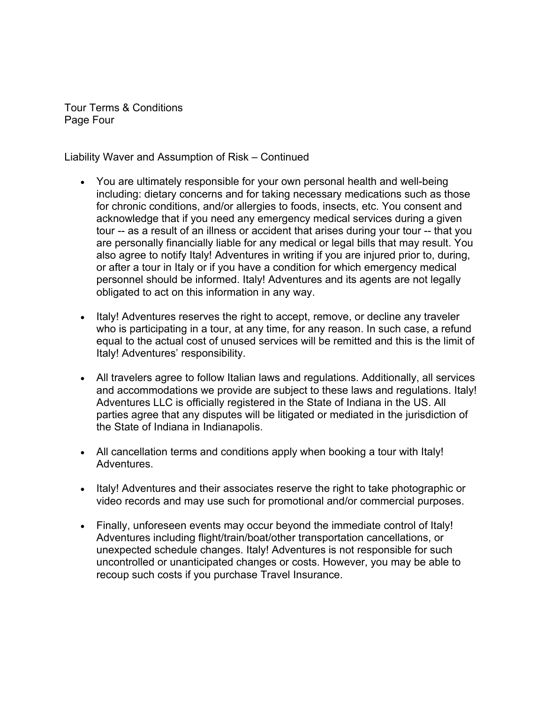Tour Terms & Conditions Page Four

Liability Waver and Assumption of Risk – Continued

- You are ultimately responsible for your own personal health and well-being including: dietary concerns and for taking necessary medications such as those for chronic conditions, and/or allergies to foods, insects, etc. You consent and acknowledge that if you need any emergency medical services during a given tour -- as a result of an illness or accident that arises during your tour -- that you are personally financially liable for any medical or legal bills that may result. You also agree to notify Italy! Adventures in writing if you are injured prior to, during, or after a tour in Italy or if you have a condition for which emergency medical personnel should be informed. Italy! Adventures and its agents are not legally obligated to act on this information in any way.
- Italy! Adventures reserves the right to accept, remove, or decline any traveler who is participating in a tour, at any time, for any reason. In such case, a refund equal to the actual cost of unused services will be remitted and this is the limit of Italy! Adventures' responsibility.
- All travelers agree to follow Italian laws and regulations. Additionally, all services and accommodations we provide are subject to these laws and regulations. Italy! Adventures LLC is officially registered in the State of Indiana in the US. All parties agree that any disputes will be litigated or mediated in the jurisdiction of the State of Indiana in Indianapolis.
- All cancellation terms and conditions apply when booking a tour with Italy! Adventures.
- Italy! Adventures and their associates reserve the right to take photographic or video records and may use such for promotional and/or commercial purposes.
- Finally, unforeseen events may occur beyond the immediate control of Italy! Adventures including flight/train/boat/other transportation cancellations, or unexpected schedule changes. Italy! Adventures is not responsible for such uncontrolled or unanticipated changes or costs. However, you may be able to recoup such costs if you purchase Travel Insurance.